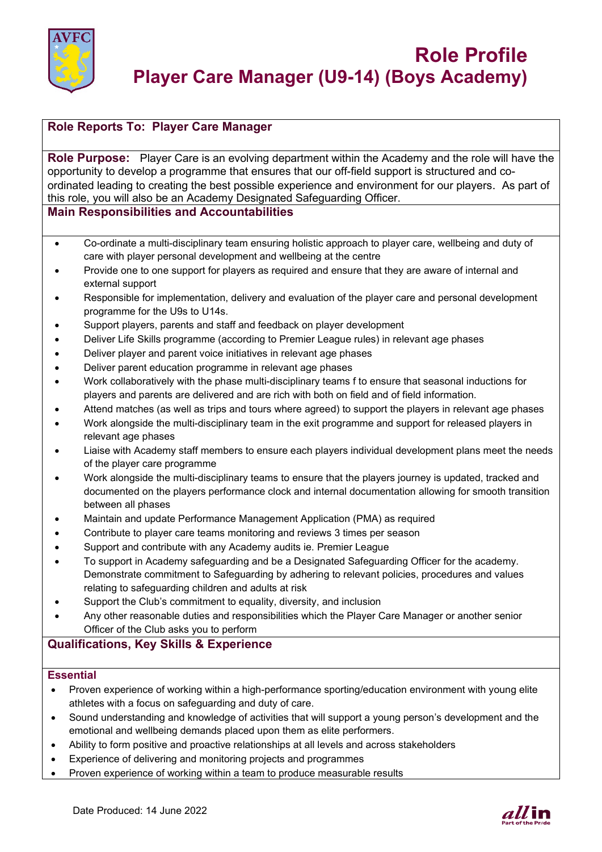

# **Role Reports To: Player Care Manager**

**Role Purpose:** Player Care is an evolving department within the Academy and the role will have the opportunity to develop a programme that ensures that our off-field support is structured and coordinated leading to creating the best possible experience and environment for our players. As part of this role, you will also be an Academy Designated Safeguarding Officer.

## **Main Responsibilities and Accountabilities**

- Co-ordinate a multi-disciplinary team ensuring holistic approach to player care, wellbeing and duty of care with player personal development and wellbeing at the centre
- Provide one to one support for players as required and ensure that they are aware of internal and external support
- Responsible for implementation, delivery and evaluation of the player care and personal development programme for the U9s to U14s.
- Support players, parents and staff and feedback on player development
- Deliver Life Skills programme (according to Premier League rules) in relevant age phases
- Deliver player and parent voice initiatives in relevant age phases
- Deliver parent education programme in relevant age phases
- Work collaboratively with the phase multi-disciplinary teams f to ensure that seasonal inductions for players and parents are delivered and are rich with both on field and of field information.
- Attend matches (as well as trips and tours where agreed) to support the players in relevant age phases
- Work alongside the multi-disciplinary team in the exit programme and support for released players in relevant age phases
- Liaise with Academy staff members to ensure each players individual development plans meet the needs of the player care programme
- Work alongside the multi-disciplinary teams to ensure that the players journey is updated, tracked and documented on the players performance clock and internal documentation allowing for smooth transition between all phases
- Maintain and update Performance Management Application (PMA) as required
- Contribute to player care teams monitoring and reviews 3 times per season
- Support and contribute with any Academy audits ie. Premier League
- To support in Academy safeguarding and be a Designated Safeguarding Officer for the academy. Demonstrate commitment to Safeguarding by adhering to relevant policies, procedures and values relating to safeguarding children and adults at risk
- Support the Club's commitment to equality, diversity, and inclusion
- Any other reasonable duties and responsibilities which the Player Care Manager or another senior Officer of the Club asks you to perform

## **Qualifications, Key Skills & Experience**

### **Essential**

- Proven experience of working within a high-performance sporting/education environment with young elite athletes with a focus on safeguarding and duty of care.
- Sound understanding and knowledge of activities that will support a young person's development and the emotional and wellbeing demands placed upon them as elite performers.
- Ability to form positive and proactive relationships at all levels and across stakeholders
- Experience of delivering and monitoring projects and programmes
- Proven experience of working within a team to produce measurable results